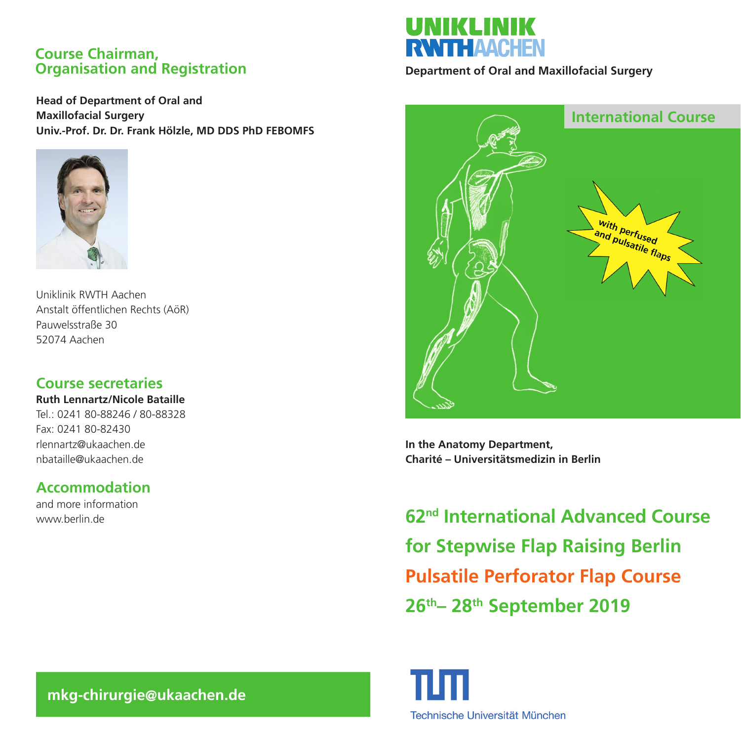### **Course Chairman, Organisation and Registration**

**Head of Department of Oral and Maxillofacial Surgery Univ.-Prof. Dr. Dr. Frank Hölzle, MD DDS PhD FEBOMFS**



Uniklinik RWTH Aachen Anstalt öffentlichen Rechts (AöR) Pauwelsstraße 30 52074 Aachen

## **Course secretaries**

**Ruth Lennartz/Nicole Bataille** Tel.: 0241 80-88246 / 80-88328

Fax: 0241 80-82430 rlennartz@ukaachen.de nbataille@ukaachen.de

# **Accommodation**

and more information www.berlin.de



**Department of Oral and Maxillofacial Surgery**



**In the Anatomy Department, Charité – Universitätsmedizin in Berlin**

**62nd International Advanced Course for Stepwise Flap Raising Berlin Pulsatile Perforator Flap Course 26th– 28th September 2019**



 **mkg-chirurgie@ukaachen.de**